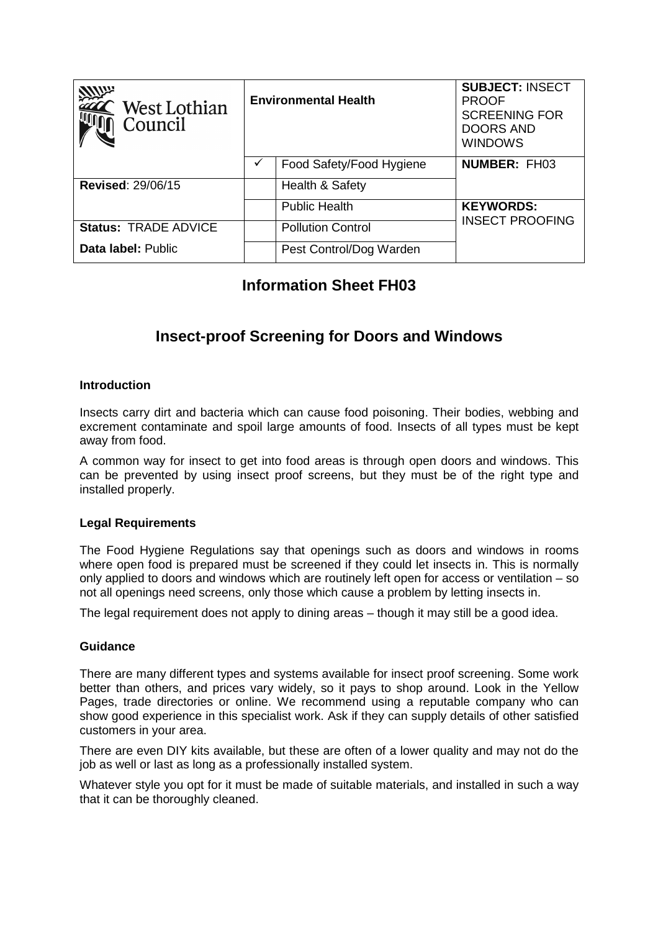| <b>ZIVILLE</b><br>$\hat{ }$ West Lothian<br>Council | <b>Environmental Health</b> |                          | <b>SUBJECT: INSECT</b><br><b>PROOF</b><br><b>SCREENING FOR</b><br><b>DOORS AND</b><br><b>WINDOWS</b> |
|-----------------------------------------------------|-----------------------------|--------------------------|------------------------------------------------------------------------------------------------------|
|                                                     |                             | Food Safety/Food Hygiene | <b>NUMBER: FH03</b>                                                                                  |
| <b>Revised: 29/06/15</b>                            |                             | Health & Safety          |                                                                                                      |
|                                                     |                             | <b>Public Health</b>     | <b>KEYWORDS:</b>                                                                                     |
| <b>Status: TRADE ADVICE</b>                         |                             | <b>Pollution Control</b> | <b>INSECT PROOFING</b>                                                                               |
| Data label: Public                                  |                             | Pest Control/Dog Warden  |                                                                                                      |

# **Information Sheet FH03**

# **Insect-proof Screening for Doors and Windows**

### **Introduction**

Insects carry dirt and bacteria which can cause food poisoning. Their bodies, webbing and excrement contaminate and spoil large amounts of food. Insects of all types must be kept away from food.

A common way for insect to get into food areas is through open doors and windows. This can be prevented by using insect proof screens, but they must be of the right type and installed properly.

#### **Legal Requirements**

The Food Hygiene Regulations say that openings such as doors and windows in rooms where open food is prepared must be screened if they could let insects in. This is normally only applied to doors and windows which are routinely left open for access or ventilation – so not all openings need screens, only those which cause a problem by letting insects in.

The legal requirement does not apply to dining areas – though it may still be a good idea.

#### **Guidance**

There are many different types and systems available for insect proof screening. Some work better than others, and prices vary widely, so it pays to shop around. Look in the Yellow Pages, trade directories or online. We recommend using a reputable company who can show good experience in this specialist work. Ask if they can supply details of other satisfied customers in your area.

There are even DIY kits available, but these are often of a lower quality and may not do the job as well or last as long as a professionally installed system.

Whatever style you opt for it must be made of suitable materials, and installed in such a way that it can be thoroughly cleaned.